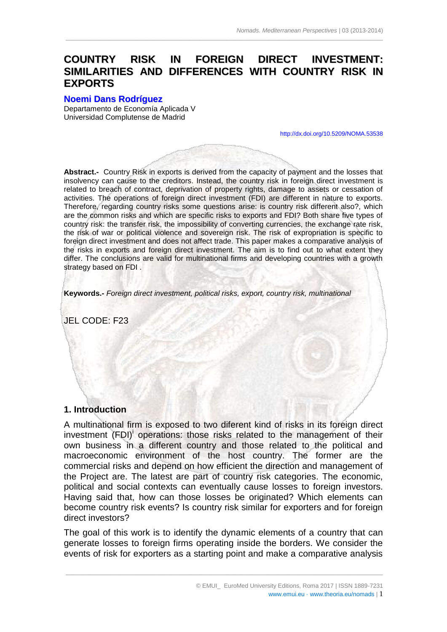# **COUNTRY RISK IN FOREIGN DIRECT INVESTMENT: SIMILARITIES AND DIFFERENCES WITH COUNTRY RISK IN EXPORTS**

 $\_$  ,  $\_$  ,  $\_$  ,  $\_$  ,  $\_$  ,  $\_$  ,  $\_$  ,  $\_$  ,  $\_$  ,  $\_$  ,  $\_$  ,  $\_$  ,  $\_$  ,  $\_$  ,  $\_$  ,  $\_$  ,  $\_$  ,  $\_$  ,  $\_$  ,  $\_$  ,  $\_$  ,  $\_$  ,  $\_$  ,  $\_$  ,  $\_$  ,  $\_$  ,  $\_$  ,  $\_$  ,  $\_$  ,  $\_$  ,  $\_$  ,  $\_$  ,  $\_$  ,  $\_$  ,  $\_$  ,  $\_$  ,  $\_$  ,

#### **Noemi Dans [Rodríguez](mailto:noemidans@gmail.com)**

Departamento de Economía Aplicada V Universidad Complutense de Madrid

<http://dx.doi.org/10.5209/NOMA.53538>

**Abstract.-** Country Risk in exports is derived from the capacity of payment and the losses that insolvency can cause to the creditors. Instead, the country risk in foreign direct investment is related to breach of contract, deprivation of property rights, damage to assets or cessation of activities. The operations of foreign direct investment (FDI) are different in nature to exports. Therefore, regarding country risks some questions arise: is country risk different also?, which are the common risks and which are specific risks to exports and FDI? Both share five types of country risk: the transfer risk, the impossibility of converting currencies, the exchange rate risk, the risk of war or political violence and sovereign risk. The risk of expropriation is specific to foreign direct investment and does not affect trade. This paper makes a comparative analysis of the risks in exports and foreign direct investment. The aim is to find out to what extent they differ. The conclusions are valid for multinational firms and developing countries with a growth strategy based on FDI .

**Keywords.-** *Foreign direct investment, political risks, export, country risk, multinational*

JEL CODE: F23

## **1. Introduction**

A multinational firm is exposed to two diferent kind of risks in its foreign direct investment (FDI)<sup>i</sup> operations: those risks related to the management of their own business in a different country and those related to the political and macroeconomic environment of the host country. The former are the commercial risks and depend on how efficient the direction and management of the Project are. The latest are part of country risk categories. The economic, political and social contexts can eventually cause losses to foreign investors. Having said that, how can those losses be originated? Which elements can become country risk events? Is country risk similar for exporters and for foreign direct investors?

The goal of this work is to identify the dynamic elements of a country that can generate losses to foreign firms operating inside the borders. We consider the events of risk for exporters as a starting point and make a comparative analysis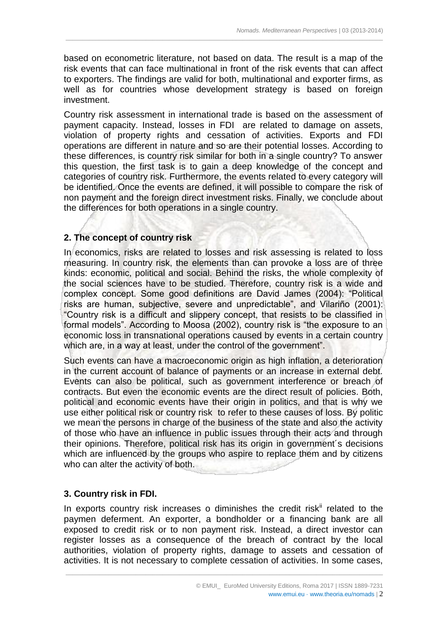based on econometric literature, not based on data. The result is a map of the risk events that can face multinational in front of the risk events that can affect to exporters. The findings are valid for both, multinational and exporter firms, as well as for countries whose development strategy is based on foreign investment.

 $\_$  ,  $\_$  ,  $\_$  ,  $\_$  ,  $\_$  ,  $\_$  ,  $\_$  ,  $\_$  ,  $\_$  ,  $\_$  ,  $\_$  ,  $\_$  ,  $\_$  ,  $\_$  ,  $\_$  ,  $\_$  ,  $\_$  ,  $\_$  ,  $\_$  ,  $\_$  ,  $\_$  ,  $\_$  ,  $\_$  ,  $\_$  ,  $\_$  ,  $\_$  ,  $\_$  ,  $\_$  ,  $\_$  ,  $\_$  ,  $\_$  ,  $\_$  ,  $\_$  ,  $\_$  ,  $\_$  ,  $\_$  ,  $\_$  ,

Country risk assessment in international trade is based on the assessment of payment capacity. Instead, losses in FDI are related to damage on assets, violation of property rights and cessation of activities. Exports and FDI operations are different in nature and so are their potential losses. According to these differences, is country risk similar for both in a single country? To answer this question, the first task is to gain a deep knowledge of the concept and categories of country risk. Furthermore, the events related to every category will be identified. Once the events are defined, it will possible to compare the risk of non payment and the foreign direct investment risks. Finally, we conclude about the differences for both operations in a single country.

## **2. The concept of country risk**

In economics, risks are related to losses and risk assessing is related to loss measuring. In country risk, the elements than can provoke a loss are of three kinds: economic, political and social. Behind the risks, the whole complexity of the social sciences have to be studied. Therefore, country risk is a wide and complex concept. Some good definitions are David James (2004): "Political risks are human, subjective, severe and unpredictable", and Vilariño (2001): "Country risk is a difficult and slippery concept, that resists to be classified in formal models". According to Moosa (2002), country risk is "the exposure to an economic loss in transnational operations caused by events in a certain country which are, in a way at least, under the control of the government".

Such events can have a macroeconomic origin as high inflation, a deterioration in the current account of balance of payments or an increase in external debt. Events can also be political, such as government interference or breach of contracts. But even the economic events are the direct result of policies. Both, political and economic events have their origin in politics, and that is why we use either political risk or country risk to refer to these causes of loss. By politic we mean the persons in charge of the business of the state and also the activity of those who have an influence in public issues through their acts and through their opinions. Therefore, political risk has its origin in government´s decisions which are influenced by the groups who aspire to replace them and by citizens who can alter the activity of both.

# **3. Country risk in FDI.**

In exports country risk increases o diminishes the credit risk $\mathbf{F}$  related to the paymen deferment. An exporter, a bondholder or a financing bank are all exposed to credit risk or to non payment risk. Instead, a direct investor can register losses as a consequence of the breach of contract by the local authorities, violation of property rights, damage to assets and cessation of activities. It is not necessary to complete cessation of activities. In some cases,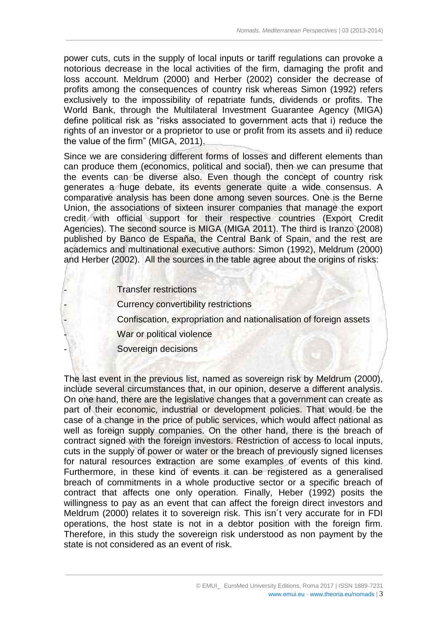power cuts, cuts in the supply of local inputs or tariff regulations can provoke a notorious decrease in the local activities of the firm, damaging the profit and loss account. Meldrum (2000) and Herber (2002) consider the decrease of profits among the consequences of country risk whereas Simon (1992) refers exclusively to the impossibility of repatriate funds, dividends or profits. The World Bank, through the Multilateral Investment Guarantee Agency (MIGA) define political risk as "risks associated to government acts that i) reduce the rights of an investor or a proprietor to use or profit from its assets and ii) reduce the value of the firm" (MIGA, 2011).

 $\_$  ,  $\_$  ,  $\_$  ,  $\_$  ,  $\_$  ,  $\_$  ,  $\_$  ,  $\_$  ,  $\_$  ,  $\_$  ,  $\_$  ,  $\_$  ,  $\_$  ,  $\_$  ,  $\_$  ,  $\_$  ,  $\_$  ,  $\_$  ,  $\_$  ,  $\_$  ,  $\_$  ,  $\_$  ,  $\_$  ,  $\_$  ,  $\_$  ,  $\_$  ,  $\_$  ,  $\_$  ,  $\_$  ,  $\_$  ,  $\_$  ,  $\_$  ,  $\_$  ,  $\_$  ,  $\_$  ,  $\_$  ,  $\_$  ,

Since we are considering different forms of losses and different elements than can produce them (economics, political and social), then we can presume that the events can be diverse also. Even though the concept of country risk generates a huge debate, its events generate quite a wide consensus. A comparative analysis has been done among seven sources. One is the Berne Union, the associations of sixteen insurer companies that manage the export credit with official support for their respective countries (Export Credit Agencies). The second source is MIGA (MIGA 2011). The third is Iranzo (2008) published by Banco de España, the Central Bank of Spain, and the rest are academics and multinational executive authors: Simon (1992), Meldrum (2000) and Herber (2002). All the sources in the table agree about the origins of risks:

**Transfer restrictions** 

Currency convertibility restrictions

Confiscation, expropriation and nationalisation of foreign assets

War or political violence

Sovereign decisions

The last event in the previous list, named as sovereign risk by Meldrum (2000), include several circumstances that, in our opinion, deserve a different analysis. On one hand, there are the legislative changes that a government can create as part of their economic, industrial or development policies. That would be the case of a change in the price of public services, which would affect national as well as foreign supply companies. On the other hand, there is the breach of contract signed with the foreign investors. Restriction of access to local inputs, cuts in the supply of power or water or the breach of previously signed licenses for natural resources extraction are some examples of events of this kind. Furthermore, in these kind of events it can be registered as a generalised breach of commitments in a whole productive sector or a specific breach of contract that affects one only operation. Finally, Heber (1992) posits the willingness to pay as an event that can affect the foreign direct investors and Meldrum (2000) relates it to sovereign risk. This isn´t very accurate for in FDI operations, the host state is not in a debtor position with the foreign firm. Therefore, in this study the sovereign risk understood as non payment by the state is not considered as an event of risk.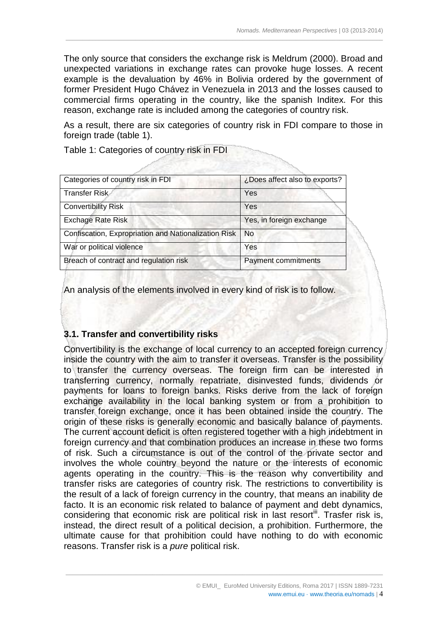The only source that considers the exchange risk is Meldrum (2000). Broad and unexpected variations in exchange rates can provoke huge losses. A recent example is the devaluation by 46% in Bolivia ordered by the government of former President Hugo Chávez in Venezuela in 2013 and the losses caused to commercial firms operating in the country, like the spanish Inditex. For this reason, exchange rate is included among the categories of country risk.

 $\_$  ,  $\_$  ,  $\_$  ,  $\_$  ,  $\_$  ,  $\_$  ,  $\_$  ,  $\_$  ,  $\_$  ,  $\_$  ,  $\_$  ,  $\_$  ,  $\_$  ,  $\_$  ,  $\_$  ,  $\_$  ,  $\_$  ,  $\_$  ,  $\_$  ,  $\_$  ,  $\_$  ,  $\_$  ,  $\_$  ,  $\_$  ,  $\_$  ,  $\_$  ,  $\_$  ,  $\_$  ,  $\_$  ,  $\_$  ,  $\_$  ,  $\_$  ,  $\_$  ,  $\_$  ,  $\_$  ,  $\_$  ,  $\_$  ,

As a result, there are six categories of country risk in FDI compare to those in foreign trade (table 1).

| Categories of country risk in FDI                    | ¿Does affect also to exports? |
|------------------------------------------------------|-------------------------------|
| Transfer Risk                                        | Yes                           |
| <b>Convertibility Risk</b>                           | Yes                           |
| Exchage Rate Risk                                    | Yes, in foreign exchange      |
| Confiscation, Expropriation and Nationalization Risk | <b>No</b>                     |
| War or political violence                            | Yes                           |
| Breach of contract and regulation risk               | Payment commitments           |
|                                                      |                               |

Table 1: Categories of country risk in FDI

An analysis of the elements involved in every kind of risk is to follow.

# **3.1. Transfer and convertibility risks**

Convertibility is the exchange of local currency to an accepted foreign currency inside the country with the aim to transfer it overseas. Transfer is the possibility to transfer the currency overseas. The foreign firm can be interested in transferring currency, normally repatriate, disinvested funds, dividends or payments for loans to foreign banks. Risks derive from the lack of foreign exchange availability in the local banking system or from a prohibition to transfer foreign exchange, once it has been obtained inside the country. The origin of these risks is generally economic and basically balance of payments. The current account deficit is often registered together with a high indebtment in foreign currency and that combination produces an increase in these two forms of risk. Such a circumstance is out of the control of the private sector and involves the whole country beyond the nature or the interests of economic agents operating in the country. This is the reason why convertibility and transfer risks are categories of country risk. The restrictions to convertibility is the result of a lack of foreign currency in the country, that means an inability de facto. It is an economic risk related to balance of payment and debt dynamics, considering that economic risk are political risk in last resort<sup>iii</sup>. Trasfer risk is, instead, the direct result of a political decision, a prohibition. Furthermore, the ultimate cause for that prohibition could have nothing to do with economic reasons. Transfer risk is a *pure* political risk.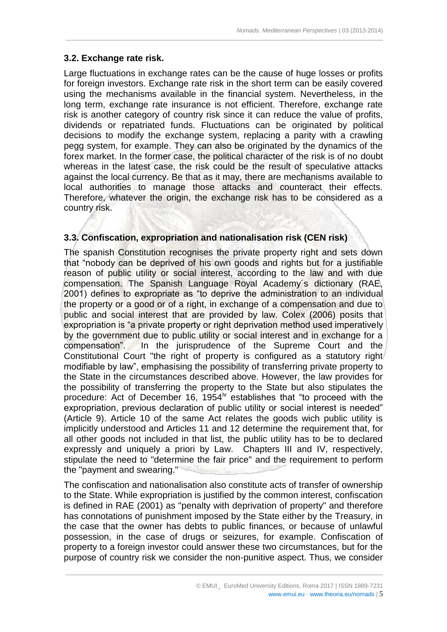## **3.2. Exchange rate risk.**

Large fluctuations in exchange rates can be the cause of huge losses or profits for foreign investors. Exchange rate risk in the short term can be easily covered using the mechanisms available in the financial system. Nevertheless, in the long term, exchange rate insurance is not efficient. Therefore, exchange rate risk is another category of country risk since it can reduce the value of profits, dividends or repatriated funds. Fluctuations can be originated by political decisions to modify the exchange system, replacing a parity with a crawling pegg system, for example. They can also be originated by the dynamics of the forex market. In the former case, the political character of the risk is of no doubt whereas in the latest case, the risk could be the result of speculative attacks against the local currency. Be that as it may, there are mechanisms available to local authorities to manage those attacks and counteract their effects. Therefore, whatever the origin, the exchange risk has to be considered as a country risk.

 $\_$  ,  $\_$  ,  $\_$  ,  $\_$  ,  $\_$  ,  $\_$  ,  $\_$  ,  $\_$  ,  $\_$  ,  $\_$  ,  $\_$  ,  $\_$  ,  $\_$  ,  $\_$  ,  $\_$  ,  $\_$  ,  $\_$  ,  $\_$  ,  $\_$  ,  $\_$  ,  $\_$  ,  $\_$  ,  $\_$  ,  $\_$  ,  $\_$  ,  $\_$  ,  $\_$  ,  $\_$  ,  $\_$  ,  $\_$  ,  $\_$  ,  $\_$  ,  $\_$  ,  $\_$  ,  $\_$  ,  $\_$  ,  $\_$  ,

## **3.3. Confiscation, expropriation and nationalisation risk (CEN risk)**

The spanish Constitution recognises the private property right and sets down that "nobody can be deprived of his own goods and rights but for a justifiable reason of public utility or social interest, according to the law and with due compensation. The Spanish Language Royal Academy´s dictionary (RAE, 2001) defines to expropriate as "to deprive the administration to an individual the property or a good or of a right, in exchange of a compensation and due to public and social interest that are provided by law. Colex (2006) posits that expropriation is "a private property or right deprivation method used imperatively by the government due to public utility or social interest and in exchange for a compensation". In the jurisprudence of the Supreme Court and the Constitutional Court "the right of property is configured as a statutory right modifiable by law", emphasising the possibility of transferring private property to the State in the circumstances described above. However, the law provides for the possibility of transferring the property to the State but also stipulates the procedure: Act of December 16, 1954<sup>iv</sup> establishes that "to proceed with the expropriation, previous declaration of public utility or social interest is needed" (Article 9). Article 10 of the same Act relates the goods wich public utility is implicitly understood and Articles 11 and 12 determine the requirement that, for all other goods not included in that list, the public utility has to be to declared expressly and uniquely a priori by Law. Chapters III and IV, respectively, stipulate the need to "determine the fair price" and the requirement to perform the "payment and swearing."

The confiscation and nationalisation also constitute acts of transfer of ownership to the State. While expropriation is justified by the common interest, confiscation is defined in RAE (2001) as "penalty with deprivation of property" and therefore has connotations of punishment imposed by the State either by the Treasury, in the case that the owner has debts to public finances, or because of unlawful possession, in the case of drugs or seizures, for example. Confiscation of property to a foreign investor could answer these two circumstances, but for the purpose of country risk we consider the non-punitive aspect. Thus, we consider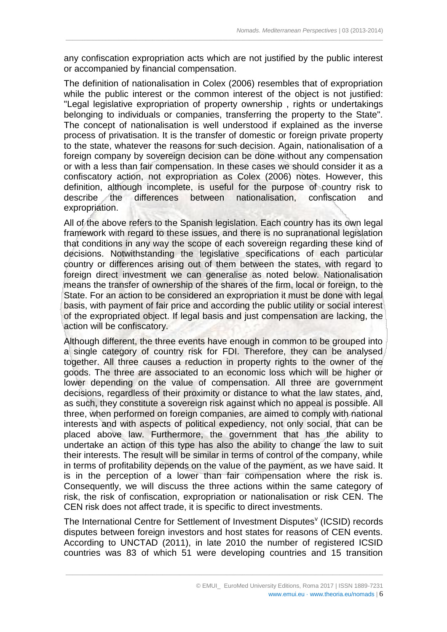any confiscation expropriation acts which are not justified by the public interest or accompanied by financial compensation.

 $\_$  ,  $\_$  ,  $\_$  ,  $\_$  ,  $\_$  ,  $\_$  ,  $\_$  ,  $\_$  ,  $\_$  ,  $\_$  ,  $\_$  ,  $\_$  ,  $\_$  ,  $\_$  ,  $\_$  ,  $\_$  ,  $\_$  ,  $\_$  ,  $\_$  ,  $\_$  ,  $\_$  ,  $\_$  ,  $\_$  ,  $\_$  ,  $\_$  ,  $\_$  ,  $\_$  ,  $\_$  ,  $\_$  ,  $\_$  ,  $\_$  ,  $\_$  ,  $\_$  ,  $\_$  ,  $\_$  ,  $\_$  ,  $\_$  ,

The definition of nationalisation in Colex (2006) resembles that of expropriation while the public interest or the common interest of the object is not justified: "Legal legislative expropriation of property ownership , rights or undertakings belonging to individuals or companies, transferring the property to the State". The concept of nationalisation is well understood if explained as the inverse process of privatisation. It is the transfer of domestic or foreign private property to the state, whatever the reasons for such decision. Again, nationalisation of a foreign company by sovereign decision can be done without any compensation or with a less than fair compensation. In these cases we should consider it as a confiscatory action, not expropriation as Colex (2006) notes. However, this definition, although incomplete, is useful for the purpose of country risk to describe the differences between nationalisation, confiscation and expropriation.

All of the above refers to the Spanish legislation. Each country has its own legal framework with regard to these issues, and there is no supranational legislation that conditions in any way the scope of each sovereign regarding these kind of decisions. Notwithstanding the legislative specifications of each particular country or differences arising out of them between the states, with regard to foreign direct investment we can generalise as noted below. Nationalisation means the transfer of ownership of the shares of the firm, local or foreign, to the State. For an action to be considered an expropriation it must be done with legal basis, with payment of fair price and according the public utility or social interest of the expropriated object. If legal basis and just compensation are lacking, the action will be confiscatory.

Although different, the three events have enough in common to be grouped into a single category of country risk for FDI. Therefore, they can be analysed together. All three causes a reduction in property rights to the owner of the goods. The three are associated to an economic loss which will be higher or lower depending on the value of compensation. All three are government decisions, regardless of their proximity or distance to what the law states, and, as such, they constitute a sovereign risk against which no appeal is possible. All three, when performed on foreign companies, are aimed to comply with national interests and with aspects of political expediency, not only social, that can be placed above law. Furthermore, the government that has the ability to undertake an action of this type has also the ability to change the law to suit their interests. The result will be similar in terms of control of the company, while in terms of profitability depends on the value of the payment, as we have said. It is in the perception of a lower than fair compensation where the risk is. Consequently, we will discuss the three actions within the same category of risk, the risk of confiscation, expropriation or nationalisation or risk CEN. The CEN risk does not affect trade, it is specific to direct investments.

The International Centre for Settlement of Investment Disputes<sup>v</sup> (ICSID) records disputes between foreign investors and host states for reasons of CEN events. According to UNCTAD (2011), in late 2010 the number of registered ICSID countries was 83 of which 51 were developing countries and 15 transition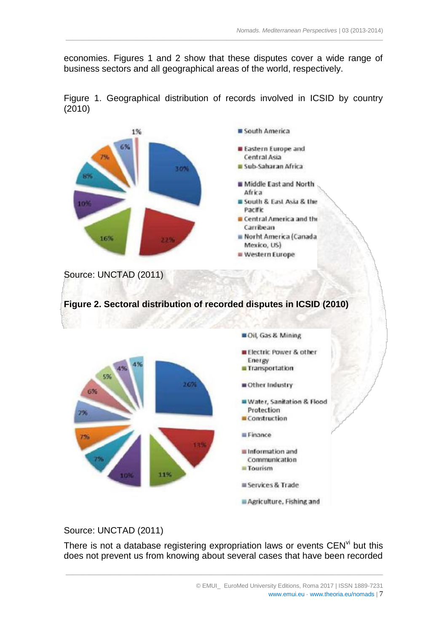economies. Figures 1 and 2 show that these disputes cover a wide range of business sectors and all geographical areas of the world, respectively.

 $\_$  ,  $\_$  ,  $\_$  ,  $\_$  ,  $\_$  ,  $\_$  ,  $\_$  ,  $\_$  ,  $\_$  ,  $\_$  ,  $\_$  ,  $\_$  ,  $\_$  ,  $\_$  ,  $\_$  ,  $\_$  ,  $\_$  ,  $\_$  ,  $\_$  ,  $\_$  ,  $\_$  ,  $\_$  ,  $\_$  ,  $\_$  ,  $\_$  ,  $\_$  ,  $\_$  ,  $\_$  ,  $\_$  ,  $\_$  ,  $\_$  ,  $\_$  ,  $\_$  ,  $\_$  ,  $\_$  ,  $\_$  ,  $\_$  ,



Figure 1. Geographical distribution of records involved in ICSID by country (2010)

Source: UNCTAD (2011)





Source: UNCTAD (2011)

There is not a database registering expropriation laws or events  $CEN<sup>vi</sup>$  but this does not prevent us from knowing about several cases that have been recorded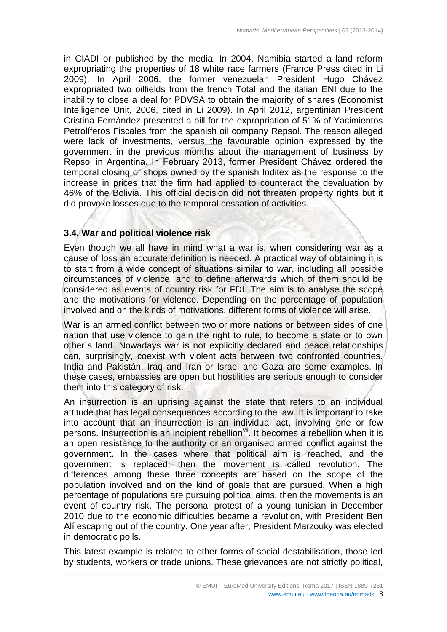in CIADI or published by the media. In 2004, Namibia started a land reform expropriating the properties of 18 white race farmers (France Press cited in Li 2009). In April 2006, the former venezuelan President Hugo Chávez expropriated two oilfields from the french Total and the italian ENI due to the inability to close a deal for PDVSA to obtain the majority of shares (Economist Intelligence Unit, 2006, cited in Li 2009). In April 2012, argentinian President Cristina Fernández presented a bill for the expropriation of 51% of Yacimientos Petrolíferos Fiscales from the spanish oil company Repsol. The reason alleged were lack of investments, versus the favourable opinion expressed by the government in the previous months about the management of business by Repsol in Argentina. In February 2013, former President Chávez ordered the temporal closing of shops owned by the spanish Inditex as the response to the increase in prices that the firm had applied to counteract the devaluation by 46% of the Bolivia. This official decision did not threaten property rights but it did provoke losses due to the temporal cessation of activities.

 $\_$  ,  $\_$  ,  $\_$  ,  $\_$  ,  $\_$  ,  $\_$  ,  $\_$  ,  $\_$  ,  $\_$  ,  $\_$  ,  $\_$  ,  $\_$  ,  $\_$  ,  $\_$  ,  $\_$  ,  $\_$  ,  $\_$  ,  $\_$  ,  $\_$  ,  $\_$  ,  $\_$  ,  $\_$  ,  $\_$  ,  $\_$  ,  $\_$  ,  $\_$  ,  $\_$  ,  $\_$  ,  $\_$  ,  $\_$  ,  $\_$  ,  $\_$  ,  $\_$  ,  $\_$  ,  $\_$  ,  $\_$  ,  $\_$  ,

# **3.4. War and political violence risk**

Even though we all have in mind what a war is, when considering war as a cause of loss an accurate definition is needed. A practical way of obtaining it is to start from a wide concept of situations similar to war, including all possible circumstances of violence, and to define afterwards which of them should be considered as events of country risk for FDI. The aim is to analyse the scope and the motivations for violence. Depending on the percentage of population involved and on the kinds of motivations, different forms of violence will arise.

War is an armed conflict between two or more nations or between sides of one nation that use violence to gain the right to rule, to become a state or to own other´s land. Nowadays war is not explicitly declared and peace relationships can, surprisingly, coexist with violent acts between two confronted countries. India and Pakistán, Iraq and Iran or Israel and Gaza are some examples. In these cases, embassies are open but hostilities are serious enough to consider them into this category of risk.

An insurrection is an uprising against the state that refers to an individual attitude that has legal consequences according to the law. It is important to take into account that an insurrection is an individual act, involving one or few persons. Insurrection is an incipient rebellion<sup>vii</sup>. It becomes a rebellion when it is an open resistance to the authority or an organised armed conflict against the government. In the cases where that political aim is reached, and the government is replaced, then the movement is called revolution. The differences among these three concepts are based on the scope of the population involved and on the kind of goals that are pursued. When a high percentage of populations are pursuing political aims, then the movements is an event of country risk. The personal protest of a young tunisian in December 2010 due to the economic difficulties became a revolution, with President Ben Alí escaping out of the country. One year after, President Marzouky was elected in democratic polls.

This latest example is related to other forms of social destabilisation, those led by students, workers or trade unions. These grievances are not strictly political,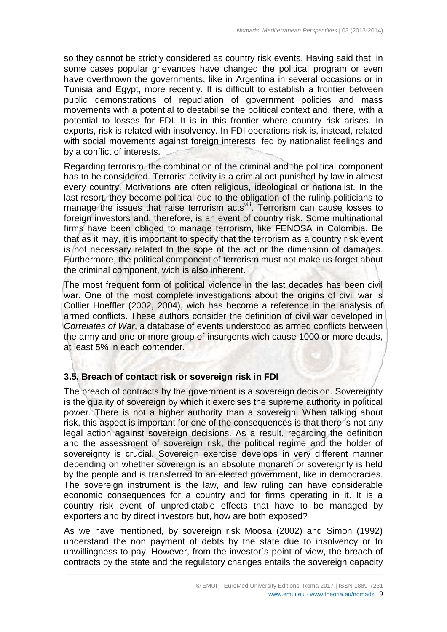so they cannot be strictly considered as country risk events. Having said that, in some cases popular grievances have changed the political program or even have overthrown the governments, like in Argentina in several occasions or in Tunisia and Egypt, more recently. It is difficult to establish a frontier between public demonstrations of repudiation of government policies and mass movements with a potential to destabilise the political context and, there, with a potential to losses for FDI. It is in this frontier where country risk arises. In exports, risk is related with insolvency. In FDI operations risk is, instead, related with social movements against foreign interests, fed by nationalist feelings and by a conflict of interests.

 $\_$  ,  $\_$  ,  $\_$  ,  $\_$  ,  $\_$  ,  $\_$  ,  $\_$  ,  $\_$  ,  $\_$  ,  $\_$  ,  $\_$  ,  $\_$  ,  $\_$  ,  $\_$  ,  $\_$  ,  $\_$  ,  $\_$  ,  $\_$  ,  $\_$  ,  $\_$  ,  $\_$  ,  $\_$  ,  $\_$  ,  $\_$  ,  $\_$  ,  $\_$  ,  $\_$  ,  $\_$  ,  $\_$  ,  $\_$  ,  $\_$  ,  $\_$  ,  $\_$  ,  $\_$  ,  $\_$  ,  $\_$  ,  $\_$  ,

Regarding terrorism, the combination of the criminal and the political component has to be considered. Terrorist activity is a crimial act punished by law in almost every country. Motivations are often religious, ideological or nationalist. In the last resort, they become political due to the obligation of the ruling politicians to manage the issues that raise terrorism acts<sup>viii</sup>. Terrorism can cause losses to foreign investors and, therefore, is an event of country risk. Some multinational firms have been obliged to manage terrorism, like FENOSA in Colombia. Be that as it may, it is important to specify that the terrorism as a country risk event is not necessary related to the sope of the act or the dimension of damages. Furthermore, the political component of terrorism must not make us forget about the criminal component, wich is also inherent.

The most frequent form of political violence in the last decades has been civil war. One of the most complete investigations about the origins of civil war is Collier Hoeffler (2002, 2004), wich has become a reference in the analysis of armed conflicts. These authors consider the definition of civil war developed in *Correlates of War*, a database of events understood as armed conflicts between the army and one or more group of insurgents wich cause 1000 or more deads, at least 5% in each contender.

# **3.5. Breach of contact risk or sovereign risk in FDI**

The breach of contracts by the government is a sovereign decision. Sovereignty is the quality of sovereign by which it exercises the supreme authority in political power. There is not a higher authority than a sovereign. When talking about risk, this aspect is important for one of the consequences is that there is not any legal action against sovereign decisions. As a result, regarding the definition and the assessment of sovereign risk, the political regime and the holder of sovereignty is crucial. Sovereign exercise develops in very different manner depending on whether sovereign is an absolute monarch or sovereignty is held by the people and is transferred to an elected government, like in democracies. The sovereign instrument is the law, and law ruling can have considerable economic consequences for a country and for firms operating in it. It is a country risk event of unpredictable effects that have to be managed by exporters and by direct investors but, how are both exposed?

As we have mentioned, by sovereign risk Moosa (2002) and Simon (1992) understand the non payment of debts by the state due to insolvency or to unwillingness to pay. However, from the investor´s point of view, the breach of contracts by the state and the regulatory changes entails the sovereign capacity

<sup>©</sup> EMUI\_ EuroMed University Editions, Roma 2017 | ISSN 1889-7231 www.emui.eu · www.theoria.eu/nomads | 9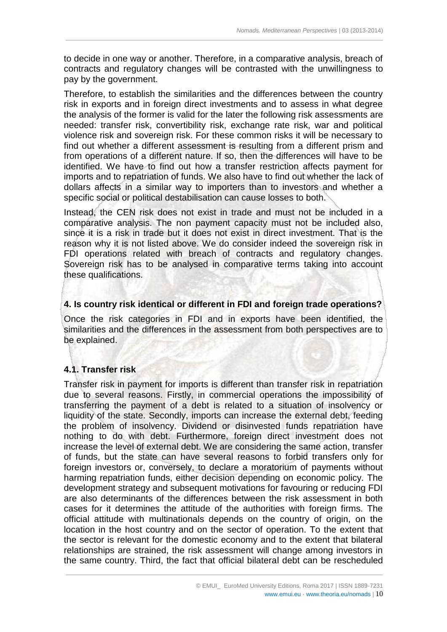to decide in one way or another. Therefore, in a comparative analysis, breach of contracts and regulatory changes will be contrasted with the unwillingness to pay by the government.

 $\_$  ,  $\_$  ,  $\_$  ,  $\_$  ,  $\_$  ,  $\_$  ,  $\_$  ,  $\_$  ,  $\_$  ,  $\_$  ,  $\_$  ,  $\_$  ,  $\_$  ,  $\_$  ,  $\_$  ,  $\_$  ,  $\_$  ,  $\_$  ,  $\_$  ,  $\_$  ,  $\_$  ,  $\_$  ,  $\_$  ,  $\_$  ,  $\_$  ,  $\_$  ,  $\_$  ,  $\_$  ,  $\_$  ,  $\_$  ,  $\_$  ,  $\_$  ,  $\_$  ,  $\_$  ,  $\_$  ,  $\_$  ,  $\_$  ,

Therefore, to establish the similarities and the differences between the country risk in exports and in foreign direct investments and to assess in what degree the analysis of the former is valid for the later the following risk assessments are needed: transfer risk, convertibility risk, exchange rate risk, war and political violence risk and sovereign risk. For these common risks it will be necessary to find out whether a different assessment is resulting from a different prism and from operations of a different nature. If so, then the differences will have to be identified. We have to find out how a transfer restriction affects payment for imports and to repatriation of funds. We also have to find out whether the lack of dollars affects in a similar way to importers than to investors and whether a specific social or political destabilisation can cause losses to both.

Instead, the CEN risk does not exist in trade and must not be included in a comparative analysis. The non payment capacity must not be included also, since it is a risk in trade but it does not exist in direct investment. That is the reason why it is not listed above. We do consider indeed the sovereign risk in FDI operations related with breach of contracts and regulatory changes. Sovereign risk has to be analysed in comparative terms taking into account these qualifications.

#### **4. Is country risk identical or different in FDI and foreign trade operations?**

Once the risk categories in FDI and in exports have been identified, the similarities and the differences in the assessment from both perspectives are to be explained.

# **4.1. Transfer risk**

Transfer risk in payment for imports is different than transfer risk in repatriation due to several reasons. Firstly, in commercial operations the impossibility of transferring the payment of a debt is related to a situation of insolvency or liquidity of the state. Secondly, imports can increase the external debt, feeding the problem of insolvency. Dividend or disinvested funds repatriation have nothing to do with debt. Furthermore, foreign direct investment does not increase the level of external debt. We are considering the same action, transfer of funds, but the state can have several reasons to forbid transfers only for foreign investors or, conversely, to declare a moratorium of payments without harming repatriation funds, either decision depending on economic policy. The development strategy and subsequent motivations for favouring or reducing FDI are also determinants of the differences between the risk assessment in both cases for it determines the attitude of the authorities with foreign firms. The official attitude with multinationals depends on the country of origin, on the location in the host country and on the sector of operation. To the extent that the sector is relevant for the domestic economy and to the extent that bilateral relationships are strained, the risk assessment will change among investors in the same country. Third, the fact that official bilateral debt can be rescheduled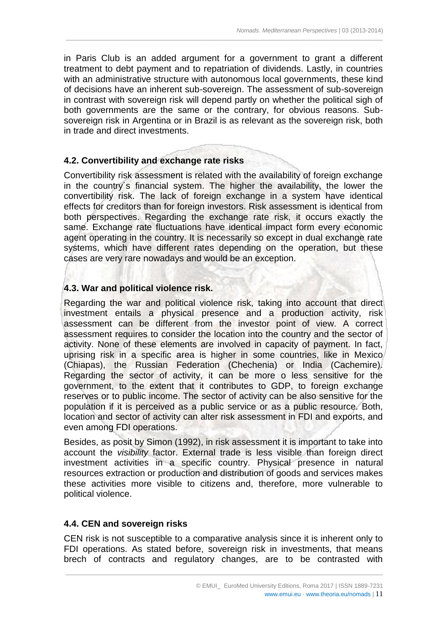in Paris Club is an added argument for a government to grant a different treatment to debt payment and to repatriation of dividends. Lastly, in countries with an administrative structure with autonomous local governments, these kind of decisions have an inherent sub-sovereign. The assessment of sub-sovereign in contrast with sovereign risk will depend partly on whether the political sigh of both governments are the same or the contrary, for obvious reasons. Subsovereign risk in Argentina or in Brazil is as relevant as the sovereign risk, both in trade and direct investments.

 $\_$  ,  $\_$  ,  $\_$  ,  $\_$  ,  $\_$  ,  $\_$  ,  $\_$  ,  $\_$  ,  $\_$  ,  $\_$  ,  $\_$  ,  $\_$  ,  $\_$  ,  $\_$  ,  $\_$  ,  $\_$  ,  $\_$  ,  $\_$  ,  $\_$  ,  $\_$  ,  $\_$  ,  $\_$  ,  $\_$  ,  $\_$  ,  $\_$  ,  $\_$  ,  $\_$  ,  $\_$  ,  $\_$  ,  $\_$  ,  $\_$  ,  $\_$  ,  $\_$  ,  $\_$  ,  $\_$  ,  $\_$  ,  $\_$  ,

#### **4.2. Convertibility and exchange rate risks**

Convertibility risk assessment is related with the availability of foreign exchange in the country´s financial system. The higher the availability, the lower the convertibility risk. The lack of foreign exchange in a system have identical effects for creditors than for foreign investors. Risk assessment is identical from both perspectives. Regarding the exchange rate risk, it occurs exactly the same. Exchange rate fluctuations have identical impact form every economic agent operating in the country. It is necessarily so except in dual exchange rate systems, which have different rates depending on the operation, but these cases are very rare nowadays and would be an exception.

## **4.3. War and political violence risk.**

Regarding the war and political violence risk, taking into account that direct investment entails a physical presence and a production activity, risk assessment can be different from the investor point of view. A correct assessment requires to consider the location into the country and the sector of activity. None of these elements are involved in capacity of payment. In fact, uprising risk in a specific area is higher in some countries, like in Mexico (Chiapas), the Russian Federation (Chechenia) or India (Cachemire). Regarding the sector of activity, it can be more o less sensitive for the government, to the extent that it contributes to GDP, to foreign exchange reserves or to public income. The sector of activity can be also sensitive for the population if it is perceived as a public service or as a public resource. Both, location and sector of activity can alter risk assessment in FDI and exports, and even among FDI operations.

Besides, as posit by Simon (1992), in risk assessment it is important to take into account the *visibility* factor. External trade is less visible than foreign direct investment activities in a specific country. Physical presence in natural resources extraction or production and distribution of goods and services makes these activities more visible to citizens and, therefore, more vulnerable to political violence.

#### **4.4. CEN and sovereign risks**

CEN risk is not susceptible to a comparative analysis since it is inherent only to FDI operations. As stated before, sovereign risk in investments, that means brech of contracts and regulatory changes, are to be contrasted with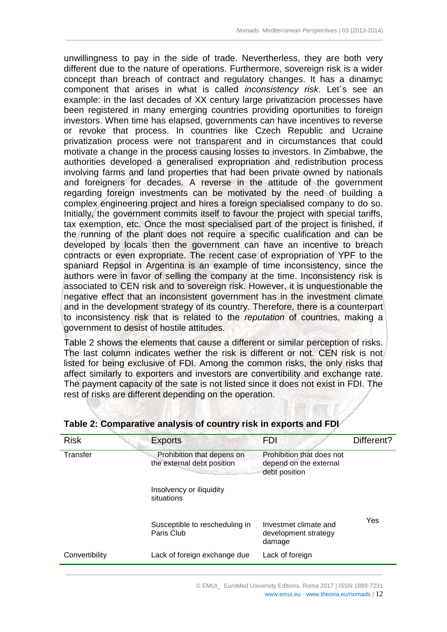unwillingness to pay in the side of trade. Nevertherless, they are both very different due to the nature of operations. Furthermore, sovereign risk is a wider concept than breach of contract and regulatory changes. It has a dinamyc component that arises in what is called *inconsistency risk*. Let´s see an example: in the last decades of XX century large privatizacion processes have been registered in many emerging countries providing oportunities to foreign investors. When time has elapsed, governments can have incentives to reverse or revoke that process. In countries like Czech Republic and Ucraine privatization process were not transparent and in circumstances that could motivate a change in the process causing losses to investors. In Zimbabwe, the authorities developed a generalised expropriation and redistribution process involving farms and land properties that had been private owned by nationals and foreigners for decades. A reverse in the attitude of the government regarding foreign investments can be motivated by the need of building a complex engineering project and hires a foreign specialised company to do so. Initially, the government commits itself to favour the project with special tariffs, tax exemption, etc. Once the most specialised part of the project is finished, if the running of the plant does not require a specific cualification and can be developed by locals then the government can have an incentive to breach contracts or even expropriate. The recent case of expropriation of YPF to the spaniard Repsol in Argentina is an example of time inconsistency, since the authors were in favor of selling the company at the time. Inconsistency risk is associated to CEN risk and to sovereign risk. However, it is unquestionable the negative effect that an inconsistent government has in the investment climate and in the development strategy of its country. Therefore, there is a counterpart to inconsistency risk that is related to the *reputation* of countries, making a government to desist of hostile attitudes.

 $\_$  ,  $\_$  ,  $\_$  ,  $\_$  ,  $\_$  ,  $\_$  ,  $\_$  ,  $\_$  ,  $\_$  ,  $\_$  ,  $\_$  ,  $\_$  ,  $\_$  ,  $\_$  ,  $\_$  ,  $\_$  ,  $\_$  ,  $\_$  ,  $\_$  ,  $\_$  ,  $\_$  ,  $\_$  ,  $\_$  ,  $\_$  ,  $\_$  ,  $\_$  ,  $\_$  ,  $\_$  ,  $\_$  ,  $\_$  ,  $\_$  ,  $\_$  ,  $\_$  ,  $\_$  ,  $\_$  ,  $\_$  ,  $\_$  ,

Table 2 shows the elements that cause a different or similar perception of risks. The last column indicates wether the risk is different or not. CEN risk is not listed for being exclusive of FDI. Among the common risks, the only risks that affect similarly to exporters and investors are convertibility and exchange rate. The payment capacity of the sate is not listed since it does not exist in FDI. The rest of risks are different depending on the operation.

| <b>Risk</b>    | <b>Exports</b>                                           | <b>FDI</b>                                                           | Different? |
|----------------|----------------------------------------------------------|----------------------------------------------------------------------|------------|
| Transfer       | Prohibition that depens on<br>the external debt position | Prohibition that does not<br>depend on the external<br>debt position |            |
|                | Insolvency or iliquidity<br>situations                   |                                                                      |            |
|                | Susceptible to rescheduling in<br>Paris Club             | Investmet climate and<br>development strategy<br>damage              | Yes        |
| Convertibility | Lack of foreign exchange due                             | Lack of foreign                                                      |            |

 $\_$  , and the state of the state of the state of the state of the state of the state of the state of the state of the state of the state of the state of the state of the state of the state of the state of the state of the

# **Table 2: Comparative analysis of country risk in exports and FDI**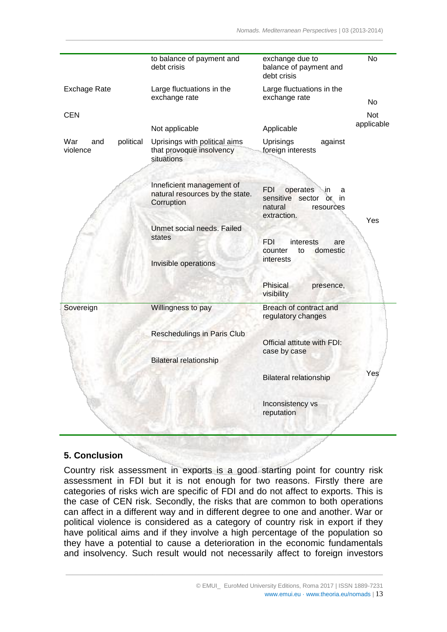|                                     | to balance of payment and<br>debt crisis                                   | exchange due to<br>balance of payment and<br>debt crisis                                                  | No         |
|-------------------------------------|----------------------------------------------------------------------------|-----------------------------------------------------------------------------------------------------------|------------|
| <b>Exchage Rate</b>                 | Large fluctuations in the<br>exchange rate                                 | Large fluctuations in the<br>exchange rate                                                                | No         |
| <b>CEN</b>                          |                                                                            |                                                                                                           | Not        |
|                                     | Not applicable                                                             | Applicable                                                                                                | applicable |
| War<br>political<br>and<br>violence | Uprisings with political aims<br>that provoque insolvency<br>situations    | Uprisings<br>against<br>foreign interests                                                                 |            |
|                                     | Inneficient management of<br>natural resources by the state.<br>Corruption | <b>FDI</b><br>operates<br>.in<br>a<br>sensitive sector<br>in<br>or<br>natural<br>resources<br>extraction. | Yes        |
|                                     | Unmet social needs. Failed<br>states<br>Invisible operations               | <b>FDI</b><br>interests<br>are<br>domestic<br>counter<br>to<br>interests                                  |            |
|                                     |                                                                            | Phisical<br>presence,<br>visibility                                                                       |            |
| Sovereign                           | Willingness to pay                                                         | Breach of contract and<br>regulatory changes                                                              |            |
|                                     | <b>Reschedulings in Paris Club</b>                                         | Official attitute with FDI:<br>case by case                                                               |            |
|                                     | <b>Bilateral relationship</b>                                              |                                                                                                           |            |
|                                     |                                                                            | <b>Bilateral relationship</b>                                                                             | Yes        |
|                                     |                                                                            | Inconsistency vs<br>reputation                                                                            |            |

 $\_$  ,  $\_$  ,  $\_$  ,  $\_$  ,  $\_$  ,  $\_$  ,  $\_$  ,  $\_$  ,  $\_$  ,  $\_$  ,  $\_$  ,  $\_$  ,  $\_$  ,  $\_$  ,  $\_$  ,  $\_$  ,  $\_$  ,  $\_$  ,  $\_$  ,  $\_$  ,  $\_$  ,  $\_$  ,  $\_$  ,  $\_$  ,  $\_$  ,  $\_$  ,  $\_$  ,  $\_$  ,  $\_$  ,  $\_$  ,  $\_$  ,  $\_$  ,  $\_$  ,  $\_$  ,  $\_$  ,  $\_$  ,  $\_$  ,

#### **5. Conclusion**

Country risk assessment in exports is a good starting point for country risk assessment in FDI but it is not enough for two reasons. Firstly there are categories of risks wich are specific of FDI and do not affect to exports. This is the case of CEN risk. Secondly, the risks that are common to both operations can affect in a different way and in different degree to one and another. War or political violence is considered as a category of country risk in export if they have political aims and if they involve a high percentage of the population so they have a potential to cause a deterioration in the economic fundamentals and insolvency. Such result would not necessarily affect to foreign investors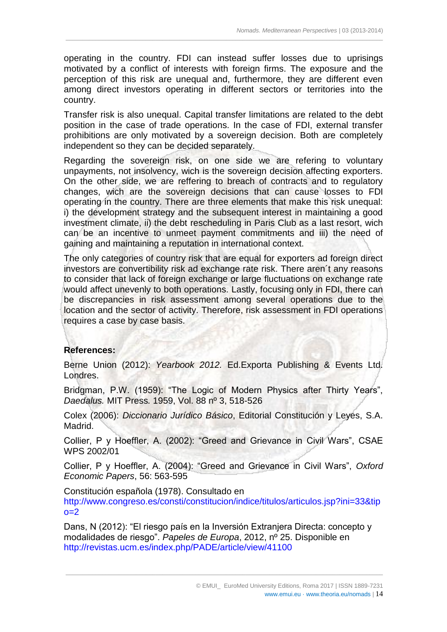operating in the country. FDI can instead suffer losses due to uprisings motivated by a conflict of interests with foreign firms. The exposure and the perception of this risk are unequal and, furthermore, they are different even among direct investors operating in different sectors or territories into the country.

 $\_$  ,  $\_$  ,  $\_$  ,  $\_$  ,  $\_$  ,  $\_$  ,  $\_$  ,  $\_$  ,  $\_$  ,  $\_$  ,  $\_$  ,  $\_$  ,  $\_$  ,  $\_$  ,  $\_$  ,  $\_$  ,  $\_$  ,  $\_$  ,  $\_$  ,  $\_$  ,  $\_$  ,  $\_$  ,  $\_$  ,  $\_$  ,  $\_$  ,  $\_$  ,  $\_$  ,  $\_$  ,  $\_$  ,  $\_$  ,  $\_$  ,  $\_$  ,  $\_$  ,  $\_$  ,  $\_$  ,  $\_$  ,  $\_$  ,

Transfer risk is also unequal. Capital transfer limitations are related to the debt position in the case of trade operations. In the case of FDI, external transfer prohibitions are only motivated by a sovereign decision. Both are completely independent so they can be decided separately.

Regarding the sovereign risk, on one side we are refering to voluntary unpayments, not insolvency, wich is the sovereign decision affecting exporters. On the other side, we are reffering to breach of contracts and to regulatory changes, wich are the sovereign decisions that can cause losses to FDI operating in the country. There are three elements that make this risk unequal: i) the development strategy and the subsequent interest in maintaining a good investment climate, ii) the debt rescheduling in Paris Club as a last resort, wich can be an incentive to unmeet payment commitments and iii) the need of gaining and maintaining a reputation in international context.

The only categories of country risk that are equal for exporters ad foreign direct investors are convertibility risk ad exchange rate risk. There aren´t any reasons to consider that lack of foreign exchange or large fluctuations on exchange rate would affect unevenly to both operations. Lastly, focusing only in FDI, there can be discrepancies in risk assessment among several operations due to the location and the sector of activity. Therefore, risk assessment in FDI operations requires a case by case basis.

#### **References:**

Berne Union (2012): *Yearbook 2012.* Ed.Exporta Publishing & Events Ltd. Londres.

Bridgman, P.W. (1959): "The Logic of Modern Physics after Thirty Years", *Daedalus.* MIT Press*.* 1959, Vol. 88 nº 3, 518-526

Colex (2006): *Diccionario Jurídico Básico*, Editorial Constitución y Leyes, S.A. Madrid.

Collier, P y Hoeffler, A. (2002): "Greed and Grievance in Civil Wars", CSAE WPS 2002/01

Collier, P y Hoeffler, A. (2004): "Greed and Grievance in Civil Wars", *Oxford Economic Papers*, 56: 563-595

Constitución española (1978). Consultado en [http://www.congreso.es/consti/constitucion/indice/titulos/articulos.jsp?ini=33&tip](http://www.congreso.es/consti/constitucion/indice/titulos/articulos.jsp?ini=33&tipo=2)  $o=2$ 

Dans, N (2012): "El riesgo país en la Inversión Extranjera Directa: concepto y modalidades de riesgo". *Papeles de Europa*, 2012, nº 25. Disponible en <http://revistas.ucm.es/index.php/PADE/article/view/41100>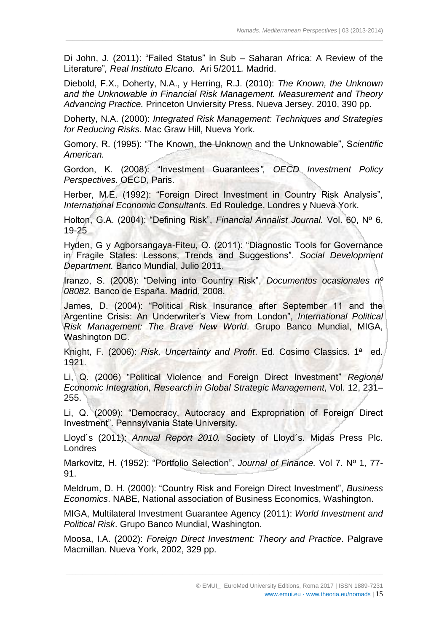Di John, J. (2011): "Failed Status" in Sub – Saharan Africa: A Review of the Literature"*, Real Instituto Elcano.* Ari 5/2011*.* Madrid.

 $\_$  ,  $\_$  ,  $\_$  ,  $\_$  ,  $\_$  ,  $\_$  ,  $\_$  ,  $\_$  ,  $\_$  ,  $\_$  ,  $\_$  ,  $\_$  ,  $\_$  ,  $\_$  ,  $\_$  ,  $\_$  ,  $\_$  ,  $\_$  ,  $\_$  ,  $\_$  ,  $\_$  ,  $\_$  ,  $\_$  ,  $\_$  ,  $\_$  ,  $\_$  ,  $\_$  ,  $\_$  ,  $\_$  ,  $\_$  ,  $\_$  ,  $\_$  ,  $\_$  ,  $\_$  ,  $\_$  ,  $\_$  ,  $\_$  ,

Diebold, F.X., Doherty, N.A., y Herring, R.J. (2010): *The Known, the Unknown and the Unknowable in Financial Risk Management. Measurement and Theory Advancing Practice.* Princeton Unviersity Press, Nueva Jersey. 2010, 390 pp.

Doherty, N.A. (2000): *Integrated Risk Management: Techniques and Strategies for Reducing Risks.* Mac Graw Hill, Nueva York.

Gomory, R. (1995): "The Known, the Unknown and the Unknowable", S*cientific American.* 

Gordon, K. (2008): "Investment Guarantees*", OECD Investment Policy Perspectives*. OECD, Paris.

Herber, M.E. (1992): "Foreign Direct Investment in Country Risk Analysis", *International Economic Consultants*. Ed Rouledge, Londres y Nueva York.

Holton, G.A. (2004): "Defining Risk", *Financial Annalist Journal.* Vol. 60, Nº 6, 19-25

Hyden, G y Agborsangaya-Fiteu, O. (2011): "Diagnostic Tools for Governance in Fragile States: Lessons, Trends and Suggestions". *Social Development Department.* Banco Mundial, Julio 2011.

Iranzo, S. (2008): "Delving into Country Risk", *Documentos ocasionales nº 08082.* Banco de España. Madrid, 2008.

James, D. (2004): "Political Risk Insurance after September 11 and the Argentine Crisis: An Underwriter's View from London", *International Political Risk Management: The Brave New World*. Grupo Banco Mundial, MIGA, Washington DC.

Knight, F. (2006): *Risk, Uncertainty and Profit*. Ed. Cosimo Classics. 1ª ed. 1921.

Li, Q. (2006) "Political Violence and Foreign Direct Investment" *Regional Economic Integration, Research in Global Strategic Management*, Vol. 12, 231– 255.

Li, Q. (2009): "Democracy, Autocracy and Expropriation of Foreign Direct Investment". Pennsylvania State University.

Lloyd´s (2011): *Annual Report 2010.* Society of Lloyd´s. Midas Press Plc. **Londres** 

Markovitz, H. (1952): "Portfolio Selection", *Journal of Finance.* Vol 7. Nº 1, 77- 91.

Meldrum, D. H. (2000): "Country Risk and Foreign Direct Investment", *Business Economics*. NABE, National association of Business Economics, Washington.

MIGA, Multilateral Investment Guarantee Agency (2011): *World Investment and Political Risk*. Grupo Banco Mundial, Washington.

Moosa, I.A. (2002): *Foreign Direct Investment: Theory and Practice*. Palgrave Macmillan. Nueva York, 2002, 329 pp.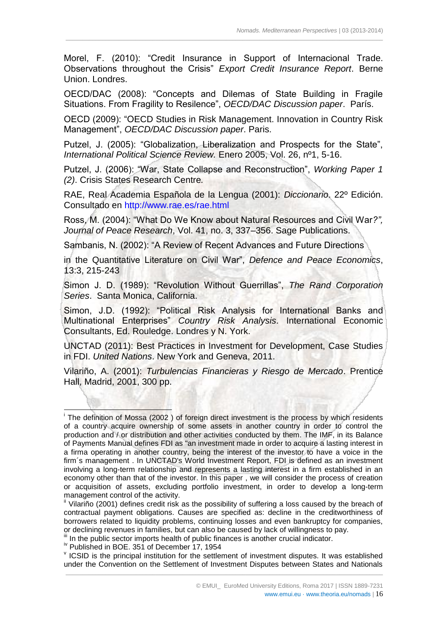Morel, F. (2010): "Credit Insurance in Support of Internacional Trade. Observations throughout the Crisis" *Export Credit Insurance Report*. Berne Union. Londres.

 $\_$  ,  $\_$  ,  $\_$  ,  $\_$  ,  $\_$  ,  $\_$  ,  $\_$  ,  $\_$  ,  $\_$  ,  $\_$  ,  $\_$  ,  $\_$  ,  $\_$  ,  $\_$  ,  $\_$  ,  $\_$  ,  $\_$  ,  $\_$  ,  $\_$  ,  $\_$  ,  $\_$  ,  $\_$  ,  $\_$  ,  $\_$  ,  $\_$  ,  $\_$  ,  $\_$  ,  $\_$  ,  $\_$  ,  $\_$  ,  $\_$  ,  $\_$  ,  $\_$  ,  $\_$  ,  $\_$  ,  $\_$  ,  $\_$  ,

OECD/DAC (2008): "Concepts and Dilemas of State Building in Fragile Situations. From Fragility to Resilence", *OECD/DAC Discussion paper*. París.

OECD (2009): "OECD Studies in Risk Management. Innovation in Country Risk Management", *OECD/DAC Discussion paper*. Paris.

Putzel, J. (2005): "Globalization, Liberalization and Prospects for the State", *International Political Science Review.* Enero 2005, Vol. 26, nº1, 5-16.

Putzel, J. (2006): "War, State Collapse and Reconstruction", *Working Paper 1 (2)*. Crisis States Research Centre*.* 

RAE, Real Academia Española de la Lengua (2001): *Diccionario*. 22º Edición. Consultado en<http://www.rae.es/rae.html>

Ross, M. (2004): "What Do We Know about Natural Resources and Civil War*?", Journal of Peace Research*, Vol. 41, no. 3, 337–356. Sage Publications.

Sambanis, N. (2002): "A Review of Recent Advances and Future Directions

in the Quantitative Literature on Civil War", *Defence and Peace Economics*, 13:3, 215-243

Simon J. D. (1989): "Revolution Without Guerrillas", *The Rand Corporation Series*. Santa Monica, California.

Simon, J.D. (1992): "Political Risk Analysis for International Banks and Multinational Enterprises" *Country Risk Analysis*. International Economic Consultants, Ed. Rouledge. Londres y N. York.

UNCTAD (2011): Best Practices in Investment for Development, Case Studies in FDI. *United Nations*. New York and Geneva, 2011.

Vilariño, A. (2001): *Turbulencias Financieras y Riesgo de Mercado*. Prentice Hall, Madrid, 2001, 300 pp.

III In the public sector imports health of public finances is another crucial indicator.

iv Published in BOE. 351 of December 17, 1954

**ENEX CONCORDER**<br>The definition of Mossa (2002 ) of foreign direct investment is the process by which residents of a country acquire ownership of some assets in another country in order to control the production and / or distribution and other activities conducted by them. The IMF, in its Balance of Payments Manual defines FDI as "an investment made in order to acquire a lasting interest in a firma operating in another country, being the interest of the investor to have a voice in the firm´s management . In UNCTAD's World Investment Report, FDI is defined as an investment involving a long-term relationship and represents a lasting interest in a firm established in an economy other than that of the investor. In this paper , we will consider the process of creation or acquisition of assets, excluding portfolio investment, in order to develop a long-term management control of the activity.

 $\mathbb{I}$  Vilariño (2001) defines credit risk as the possibility of suffering a loss caused by the breach of contractual payment obligations. Causes are specified as: decline in the creditworthiness of borrowers related to liquidity problems, continuing losses and even bankruptcy for companies, or declining revenues in families, but can also be caused by lack of willingness to pay.

 $\_$  , and the set of the set of the set of the set of the set of the set of the set of the set of the set of the set of the set of the set of the set of the set of the set of the set of the set of the set of the set of th v ICSID is the principal institution for the settlement of investment disputes. It was established under the Convention on the Settlement of Investment Disputes between States and Nationals